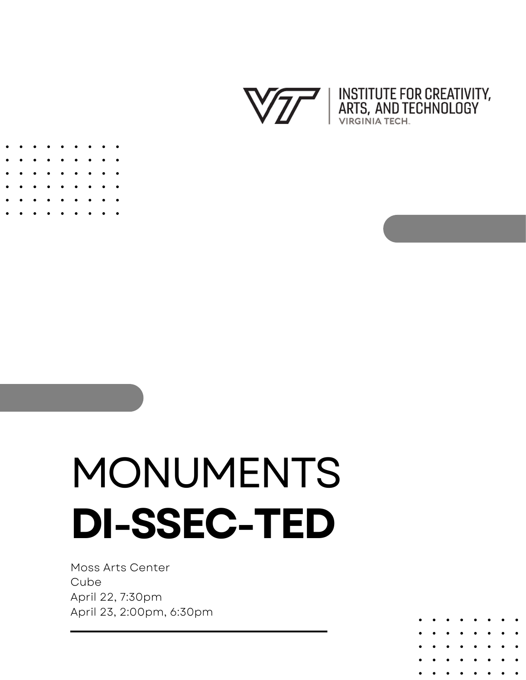



# MONUMENTS **DI-SSEC-TED**

Moss Arts Center Cube April 22, 7:30pm April 23, 2:00pm, 6:30pm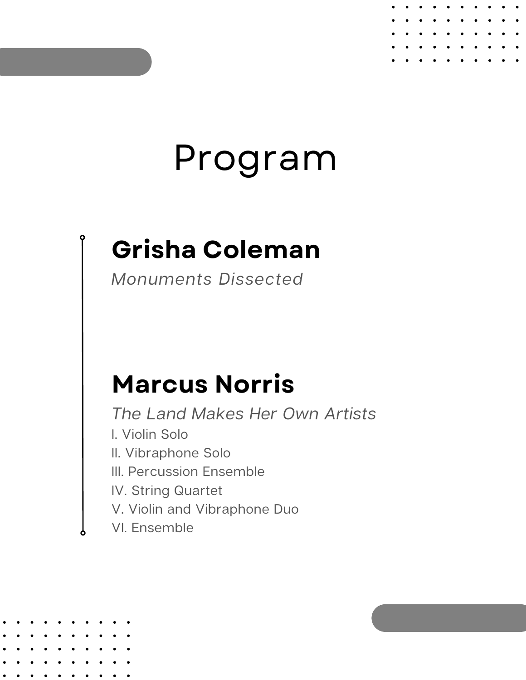## Program

### **Grisha Coleman**

Monuments Dissected

#### **Marcus Norris**

The Land Makes Her Own Artists I. Violin Solo II. Vibraphone Solo III. Percussion Ensemble IV. String Quartet V. Violin and Vibraphone Duo

VI. Ensemble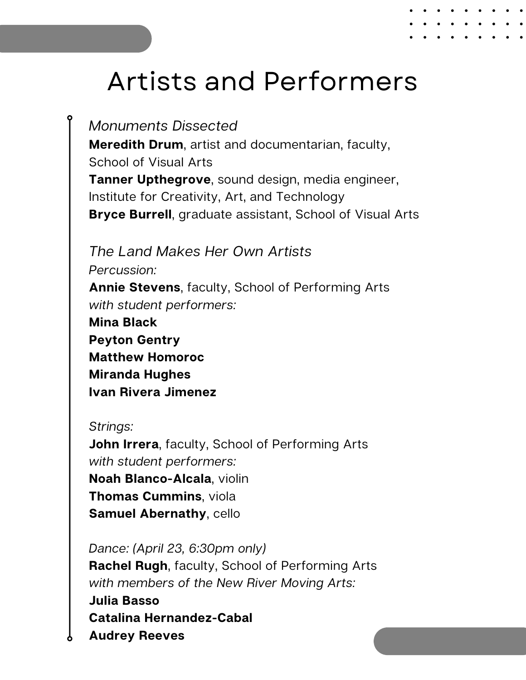#### Artists and Performers

Monuments Dissected **Meredith Drum**, artist and documentarian, faculty, School of Visual Arts **Tanner Upthegrove**, sound design, media engineer, Institute for Creativity, Art, and Technology **Bryce Burrell**, graduate assistant, School of Visual Arts

The Land Makes Her Own Artists Percussion: **Annie Stevens**, faculty, School of Performing Arts with student performers: **Mina Black Peyton Gentry Matthew Homoroc Miranda Hughes Ivan Rivera Jimenez**

#### Strings:

**John Irrera**, faculty, School of Performing Arts with student performers: **Noah Blanco-Alcala**, violin **Thomas Cummins**, viola **Samuel Abernathy**, cello

Dance: (April 23, 6:30pm only) **Rachel Rugh**, faculty, School of Performing Arts with members of the New River Moving Arts: **Julia Basso**

**Catalina Hernandez-Cabal Audrey Reeves**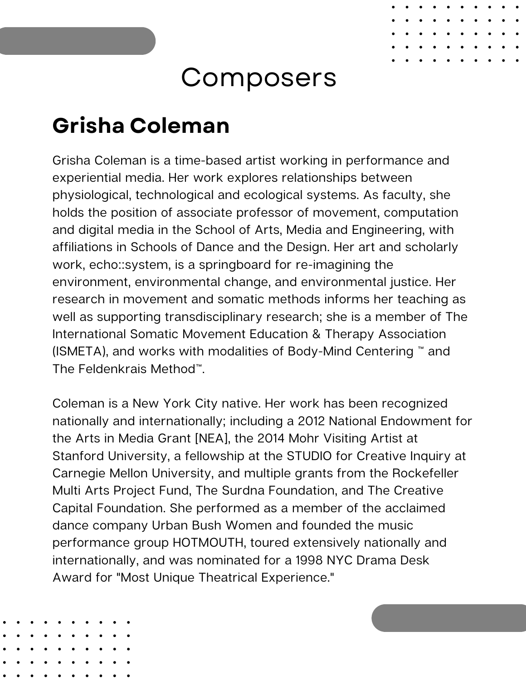#### **Composers**

#### **Grisha Coleman**

Grisha Coleman is a time-based artist working in performance and experiential media. Her work explores relationships between physiological, technological and ecological systems. As faculty, she holds the position of associate professor of movement, computation and digital media in the School of Arts, Media and Engineering, with affiliations in Schools of Dance and the Design. Her art and scholarly work, echo::system, is a springboard for re-imagining the environment, environmental change, and environmental justice. Her research in movement and somatic methods informs her teaching as well as supporting transdisciplinary research; she is a member of The International Somatic Movement Education & Therapy Association (ISMETA), and works with modalities of Body-Mind Centering ™ and The Feldenkrais Method™.

Coleman is a New York City native. Her work has been recognized nationally and internationally; including a 2012 National Endowment for the Arts in Media Grant [NEA], the 2014 Mohr Visiting Artist at Stanford University, a fellowship at the STUDIO for Creative Inquiry at Carnegie Mellon University, and multiple grants from the Rockefeller Multi Arts Project Fund, The Surdna Foundation, and The Creative Capital Foundation. She performed as a member of the acclaimed dance company Urban Bush Women and founded the music performance group HOTMOUTH, toured extensively nationally and internationally, and was nominated for a 1998 NYC Drama Desk Award for "Most Unique Theatrical Experience."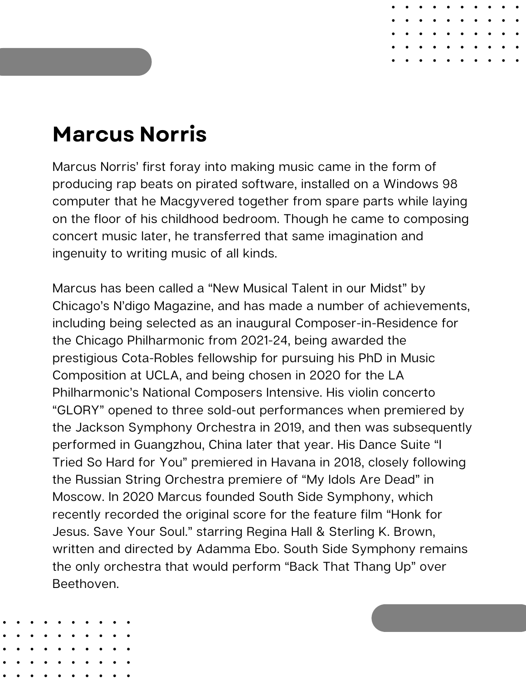#### **Marcus Norris**

Marcus Norris' first foray into making music came in the form of producing rap beats on pirated software, installed on a Windows 98 computer that he Macgyvered together from spare parts while laying on the floor of his childhood bedroom. Though he came to composing concert music later, he transferred that same imagination and ingenuity to writing music of all kinds.

Marcus has been called a "New Musical Talent in our Midst" by Chicago's N'digo Magazine, and has made a number of achievements, including being selected as an inaugural Composer-in-Residence for the Chicago Philharmonic from 2021-24, being awarded the prestigious Cota-Robles fellowship for pursuing his PhD in Music Composition at UCLA, and being chosen in 2020 for the LA Philharmonic's National Composers Intensive. His violin concerto "GLORY" opened to three sold-out performances when premiered by the Jackson Symphony Orchestra in 2019, and then was subsequently performed in Guangzhou, China later that year. His Dance Suite "I Tried So Hard for You" premiered in Havana in 2018, closely following the Russian String Orchestra premiere of "My Idols Are Dead" in Moscow. In 2020 Marcus founded South Side Symphony, which recently recorded the original score for the feature film "Honk for Jesus. Save Your Soul." starring Regina Hall & Sterling K. Brown, written and directed by Adamma Ebo. South Side Symphony remains the only orchestra that would perform "Back That Thang Up" over Beethoven.